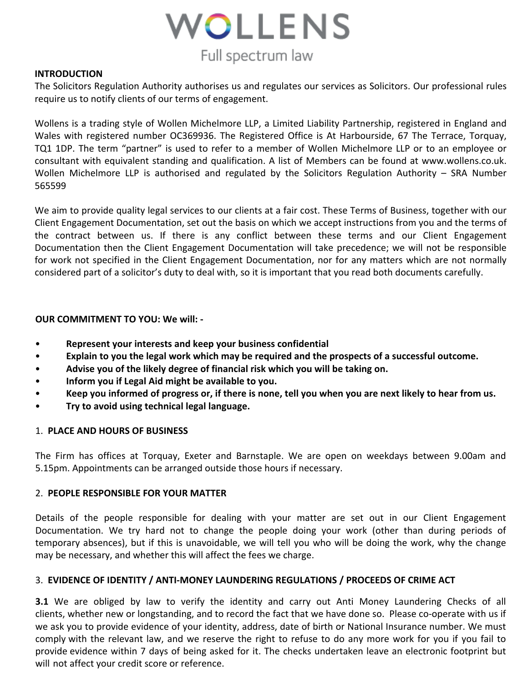

### **INTRODUCTION**

The Solicitors Regulation Authority authorises us and regulates our services as Solicitors. Our professional rules require us to notify clients of our terms of engagement.

Wollens is a trading style of Wollen Michelmore LLP, a Limited Liability Partnership, registered in England and Wales with registered number OC369936. The Registered Office is At Harbourside, 67 The Terrace, Torquay, TQ1 1DP. The term "partner" is used to refer to a member of Wollen Michelmore LLP or to an employee or consultant with equivalent standing and qualification. A list of Members can be found at www.wollens.co.uk. Wollen Michelmore LLP is authorised and regulated by the Solicitors Regulation Authority – SRA Number 565599

We aim to provide quality legal services to our clients at a fair cost. These Terms of Business, together with our Client Engagement Documentation, set out the basis on which we accept instructions from you and the terms of the contract between us. If there is any conflict between these terms and our Client Engagement Documentation then the Client Engagement Documentation will take precedence; we will not be responsible for work not specified in the Client Engagement Documentation, nor for any matters which are not normally considered part of a solicitor's duty to deal with, so it is important that you read both documents carefully.

### **OUR COMMITMENT TO YOU: We will: -**

- **Represent your interests and keep your business confidential**
- **Explain to you the legal work which may be required and the prospects of a successful outcome.**
- **Advise you of the likely degree of financial risk which you will be taking on.**
- **Inform you if Legal Aid might be available to you.**
- **Keep you informed of progress or, if there is none, tell you when you are next likely to hear from us.**
- **Try to avoid using technical legal language.**

### 1. **PLACE AND HOURS OF BUSINESS**

The Firm has offices at Torquay, Exeter and Barnstaple. We are open on weekdays between 9.00am and 5.15pm. Appointments can be arranged outside those hours if necessary.

### 2. **PEOPLE RESPONSIBLE FOR YOUR MATTER**

Details of the people responsible for dealing with your matter are set out in our Client Engagement Documentation. We try hard not to change the people doing your work (other than during periods of temporary absences), but if this is unavoidable, we will tell you who will be doing the work, why the change may be necessary, and whether this will affect the fees we charge.

### 3. **EVIDENCE OF IDENTITY / ANTI-MONEY LAUNDERING REGULATIONS / PROCEEDS OF CRIME ACT**

**3.1** We are obliged by law to verify the identity and carry out Anti Money Laundering Checks of all clients, whether new or longstanding, and to record the fact that we have done so. Please co-operate with us if we ask you to provide evidence of your identity, address, date of birth or National Insurance number. We must comply with the relevant law, and we reserve the right to refuse to do any more work for you if you fail to provide evidence within 7 days of being asked for it. The checks undertaken leave an electronic footprint but will not affect your credit score or reference.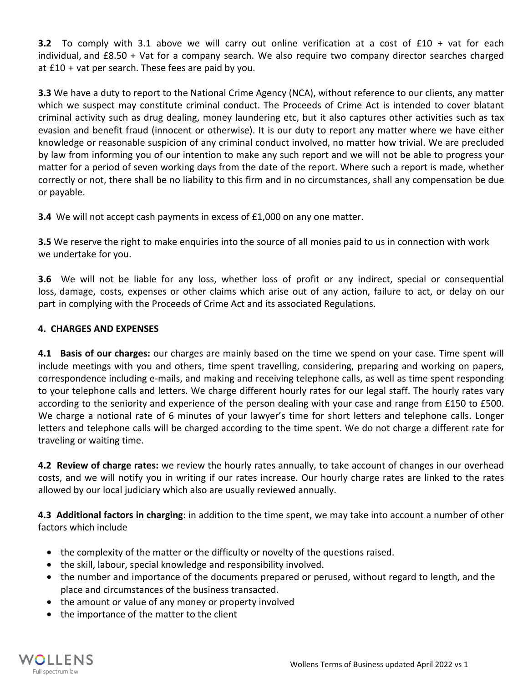**3.2** To comply with 3.1 above we will carry out online verification at a cost of £10 + vat for each individual, and £8.50 + Vat for a company search. We also require two company director searches charged at £10 + vat per search. These fees are paid by you.

**3.3** We have a duty to report to the National Crime Agency (NCA), without reference to our clients, any matter which we suspect may constitute criminal conduct. The Proceeds of Crime Act is intended to cover blatant criminal activity such as drug dealing, money laundering etc, but it also captures other activities such as tax evasion and benefit fraud (innocent or otherwise). It is our duty to report any matter where we have either knowledge or reasonable suspicion of any criminal conduct involved, no matter how trivial. We are precluded by law from informing you of our intention to make any such report and we will not be able to progress your matter for a period of seven working days from the date of the report. Where such a report is made, whether correctly or not, there shall be no liability to this firm and in no circumstances, shall any compensation be due or payable.

**3.4** We will not accept cash payments in excess of £1,000 on any one matter.

**3.5** We reserve the right to make enquiries into the source of all monies paid to us in connection with work we undertake for you.

**3.6** We will not be liable for any loss, whether loss of profit or any indirect, special or consequential loss, damage, costs, expenses or other claims which arise out of any action, failure to act, or delay on our part in complying with the Proceeds of Crime Act and its associated Regulations.

# **4. CHARGES AND EXPENSES**

**4.1 Basis of our charges:** our charges are mainly based on the time we spend on your case. Time spent will include meetings with you and others, time spent travelling, considering, preparing and working on papers, correspondence including e-mails, and making and receiving telephone calls, as well as time spent responding to your telephone calls and letters. We charge different hourly rates for our legal staff. The hourly rates vary according to the seniority and experience of the person dealing with your case and range from £150 to £500. We charge a notional rate of 6 minutes of your lawyer's time for short letters and telephone calls. Longer letters and telephone calls will be charged according to the time spent. We do not charge a different rate for traveling or waiting time.

**4.2 Review of charge rates:** we review the hourly rates annually, to take account of changes in our overhead costs, and we will notify you in writing if our rates increase. Our hourly charge rates are linked to the rates allowed by our local judiciary which also are usually reviewed annually.

**4.3 Additional factors in charging**: in addition to the time spent, we may take into account a number of other factors which include

- the complexity of the matter or the difficulty or novelty of the questions raised.
- the skill, labour, special knowledge and responsibility involved.
- the number and importance of the documents prepared or perused, without regard to length, and the place and circumstances of the business transacted.
- the amount or value of any money or property involved
- the importance of the matter to the client

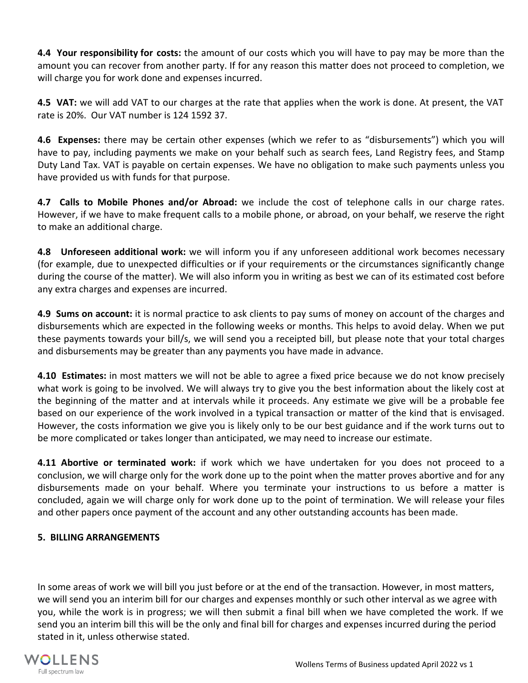**4.4 Your responsibility for costs:** the amount of our costs which you will have to pay may be more than the amount you can recover from another party. If for any reason this matter does not proceed to completion, we will charge you for work done and expenses incurred.

**4.5 VAT:** we will add VAT to our charges at the rate that applies when the work is done. At present, the VAT rate is 20%. Our VAT number is 124 1592 37.

**4.6 Expenses:** there may be certain other expenses (which we refer to as "disbursements") which you will have to pay, including payments we make on your behalf such as search fees, Land Registry fees, and Stamp Duty Land Tax. VAT is payable on certain expenses. We have no obligation to make such payments unless you have provided us with funds for that purpose.

**4.7 Calls to Mobile Phones and/or Abroad:** we include the cost of telephone calls in our charge rates. However, if we have to make frequent calls to a mobile phone, or abroad, on your behalf, we reserve the right to make an additional charge.

**4.8 Unforeseen additional work:** we will inform you if any unforeseen additional work becomes necessary (for example, due to unexpected difficulties or if your requirements or the circumstances significantly change during the course of the matter). We will also inform you in writing as best we can of its estimated cost before any extra charges and expenses are incurred.

**4.9 Sums on account:** it is normal practice to ask clients to pay sums of money on account of the charges and disbursements which are expected in the following weeks or months. This helps to avoid delay. When we put these payments towards your bill/s, we will send you a receipted bill, but please note that your total charges and disbursements may be greater than any payments you have made in advance.

**4.10 Estimates:** in most matters we will not be able to agree a fixed price because we do not know precisely what work is going to be involved. We will always try to give you the best information about the likely cost at the beginning of the matter and at intervals while it proceeds. Any estimate we give will be a probable fee based on our experience of the work involved in a typical transaction or matter of the kind that is envisaged. However, the costs information we give you is likely only to be our best guidance and if the work turns out to be more complicated or takes longer than anticipated, we may need to increase our estimate.

**4.11 Abortive or terminated work:** if work which we have undertaken for you does not proceed to a conclusion, we will charge only for the work done up to the point when the matter proves abortive and for any disbursements made on your behalf. Where you terminate your instructions to us before a matter is concluded, again we will charge only for work done up to the point of termination. We will release your files and other papers once payment of the account and any other outstanding accounts has been made.

# **5. BILLING ARRANGEMENTS**

In some areas of work we will bill you just before or at the end of the transaction. However, in most matters, we will send you an interim bill for our charges and expenses monthly or such other interval as we agree with you, while the work is in progress; we will then submit a final bill when we have completed the work. If we send you an interim bill this will be the only and final bill for charges and expenses incurred during the period stated in it, unless otherwise stated.

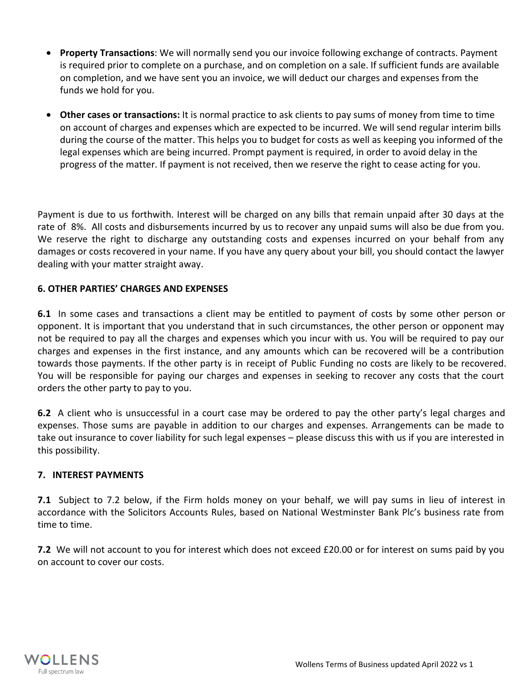- **Property Transactions**: We will normally send you our invoice following exchange of contracts. Payment is required prior to complete on a purchase, and on completion on a sale. If sufficient funds are available on completion, and we have sent you an invoice, we will deduct our charges and expenses from the funds we hold for you.
- **Other cases or transactions:** It is normal practice to ask clients to pay sums of money from time to time on account of charges and expenses which are expected to be incurred. We will send regular interim bills during the course of the matter. This helps you to budget for costs as well as keeping you informed of the legal expenses which are being incurred. Prompt payment is required, in order to avoid delay in the progress of the matter. If payment is not received, then we reserve the right to cease acting for you.

Payment is due to us forthwith. Interest will be charged on any bills that remain unpaid after 30 days at the rate of 8%. All costs and disbursements incurred by us to recover any unpaid sums will also be due from you. We reserve the right to discharge any outstanding costs and expenses incurred on your behalf from any damages or costs recovered in your name. If you have any query about your bill, you should contact the lawyer dealing with your matter straight away.

## **6. OTHER PARTIES' CHARGES AND EXPENSES**

**6.1** In some cases and transactions a client may be entitled to payment of costs by some other person or opponent. It is important that you understand that in such circumstances, the other person or opponent may not be required to pay all the charges and expenses which you incur with us. You will be required to pay our charges and expenses in the first instance, and any amounts which can be recovered will be a contribution towards those payments. If the other party is in receipt of Public Funding no costs are likely to be recovered. You will be responsible for paying our charges and expenses in seeking to recover any costs that the court orders the other party to pay to you.

**6.2** A client who is unsuccessful in a court case may be ordered to pay the other party's legal charges and expenses. Those sums are payable in addition to our charges and expenses. Arrangements can be made to take out insurance to cover liability for such legal expenses – please discuss this with us if you are interested in this possibility.

### **7. INTEREST PAYMENTS**

**7.1** Subject to 7.2 below, if the Firm holds money on your behalf, we will pay sums in lieu of interest in accordance with the Solicitors Accounts Rules, based on National Westminster Bank Plc's business rate from time to time.

**7.2** We will not account to you for interest which does not exceed £20.00 or for interest on sums paid by you on account to cover our costs.

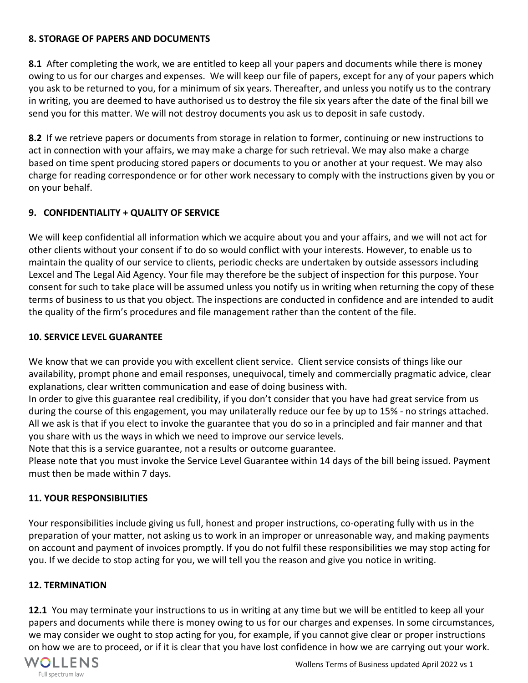## **8. STORAGE OF PAPERS AND DOCUMENTS**

**8.1** After completing the work, we are entitled to keep all your papers and documents while there is money owing to us for our charges and expenses. We will keep our file of papers, except for any of your papers which you ask to be returned to you, for a minimum of six years. Thereafter, and unless you notify us to the contrary in writing, you are deemed to have authorised us to destroy the file six years after the date of the final bill we send you for this matter. We will not destroy documents you ask us to deposit in safe custody.

**8.2** If we retrieve papers or documents from storage in relation to former, continuing or new instructions to act in connection with your affairs, we may make a charge for such retrieval. We may also make a charge based on time spent producing stored papers or documents to you or another at your request. We may also charge for reading correspondence or for other work necessary to comply with the instructions given by you or on your behalf.

# **9. CONFIDENTIALITY + QUALITY OF SERVICE**

We will keep confidential all information which we acquire about you and your affairs, and we will not act for other clients without your consent if to do so would conflict with your interests. However, to enable us to maintain the quality of our service to clients, periodic checks are undertaken by outside assessors including Lexcel and The Legal Aid Agency. Your file may therefore be the subject of inspection for this purpose. Your consent for such to take place will be assumed unless you notify us in writing when returning the copy of these terms of business to us that you object. The inspections are conducted in confidence and are intended to audit the quality of the firm's procedures and file management rather than the content of the file.

### **10. SERVICE LEVEL GUARANTEE**

We know that we can provide you with excellent client service. Client service consists of things like our availability, prompt phone and email responses, unequivocal, timely and commercially pragmatic advice, clear explanations, clear written communication and ease of doing business with.

In order to give this guarantee real credibility, if you don't consider that you have had great service from us during the course of this engagement, you may unilaterally reduce our fee by up to 15% - no strings attached. All we ask is that if you elect to invoke the guarantee that you do so in a principled and fair manner and that you share with us the ways in which we need to improve our service levels.

Note that this is a service guarantee, not a results or outcome guarantee.

Please note that you must invoke the Service Level Guarantee within 14 days of the bill being issued. Payment must then be made within 7 days.

## **11. YOUR RESPONSIBILITIES**

Your responsibilities include giving us full, honest and proper instructions, co-operating fully with us in the preparation of your matter, not asking us to work in an improper or unreasonable way, and making payments on account and payment of invoices promptly. If you do not fulfil these responsibilities we may stop acting for you. If we decide to stop acting for you, we will tell you the reason and give you notice in writing.

### **12. TERMINATION**

**12.1** You may terminate your instructions to us in writing at any time but we will be entitled to keep all your papers and documents while there is money owing to us for our charges and expenses. In some circumstances, we may consider we ought to stop acting for you, for example, if you cannot give clear or proper instructions on how we are to proceed, or if it is clear that you have lost confidence in how we are carrying out your work.

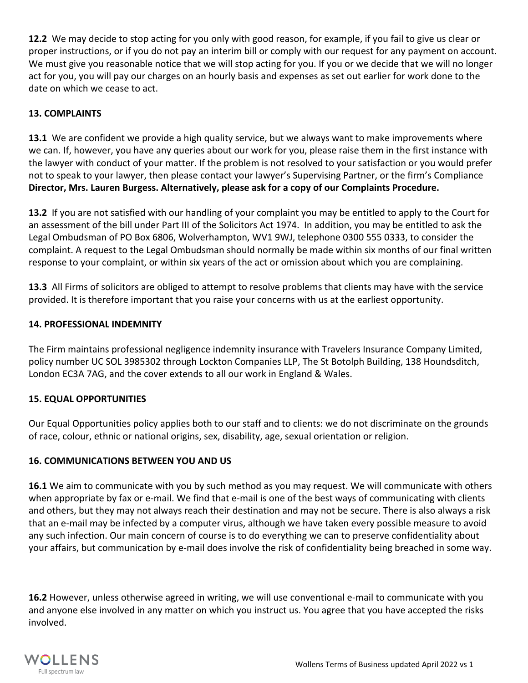**12.2** We may decide to stop acting for you only with good reason, for example, if you fail to give us clear or proper instructions, or if you do not pay an interim bill or comply with our request for any payment on account. We must give you reasonable notice that we will stop acting for you. If you or we decide that we will no longer act for you, you will pay our charges on an hourly basis and expenses as set out earlier for work done to the date on which we cease to act.

## **13. COMPLAINTS**

**13.1** We are confident we provide a high quality service, but we always want to make improvements where we can. If, however, you have any queries about our work for you, please raise them in the first instance with the lawyer with conduct of your matter. If the problem is not resolved to your satisfaction or you would prefer not to speak to your lawyer, then please contact your lawyer's Supervising Partner, or the firm's Compliance **Director, Mrs. Lauren Burgess. Alternatively, please ask for a copy of our Complaints Procedure.**

**13.2** If you are not satisfied with our handling of your complaint you may be entitled to apply to the Court for an assessment of the bill under Part III of the Solicitors Act 1974. In addition, you may be entitled to ask the Legal Ombudsman of PO Box 6806, Wolverhampton, WV1 9WJ, telephone 0300 555 0333, to consider the complaint. A request to the Legal Ombudsman should normally be made within six months of our final written response to your complaint, or within six years of the act or omission about which you are complaining.

**13.3** All Firms of solicitors are obliged to attempt to resolve problems that clients may have with the service provided. It is therefore important that you raise your concerns with us at the earliest opportunity.

## **14. PROFESSIONAL INDEMNITY**

The Firm maintains professional negligence indemnity insurance with Travelers Insurance Company Limited, policy number UC SOL 3985302 through Lockton Companies LLP, The St Botolph Building, 138 Houndsditch, London EC3A 7AG, and the cover extends to all our work in England & Wales.

# **15. EQUAL OPPORTUNITIES**

Our Equal Opportunities policy applies both to our staff and to clients: we do not discriminate on the grounds of race, colour, ethnic or national origins, sex, disability, age, sexual orientation or religion.

## **16. COMMUNICATIONS BETWEEN YOU AND US**

**16.1** We aim to communicate with you by such method as you may request. We will communicate with others when appropriate by fax or e-mail. We find that e-mail is one of the best ways of communicating with clients and others, but they may not always reach their destination and may not be secure. There is also always a risk that an e-mail may be infected by a computer virus, although we have taken every possible measure to avoid any such infection. Our main concern of course is to do everything we can to preserve confidentiality about your affairs, but communication by e-mail does involve the risk of confidentiality being breached in some way.

**16.2** However, unless otherwise agreed in writing, we will use conventional e-mail to communicate with you and anyone else involved in any matter on which you instruct us. You agree that you have accepted the risks involved.

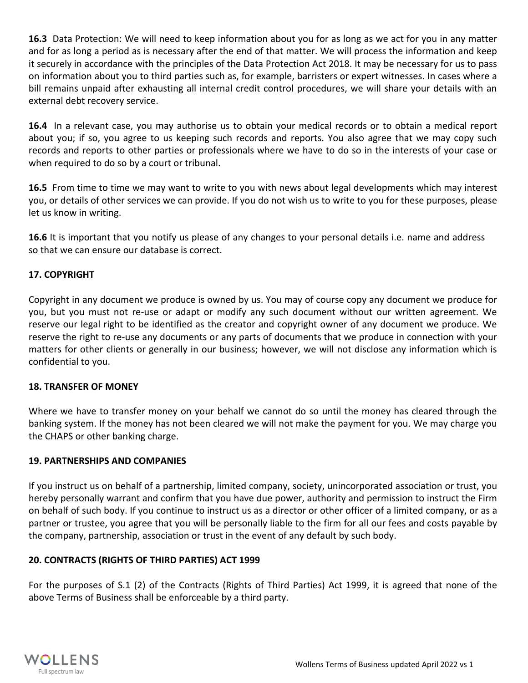**16.3** Data Protection: We will need to keep information about you for as long as we act for you in any matter and for as long a period as is necessary after the end of that matter. We will process the information and keep it securely in accordance with the principles of the Data Protection Act 2018. It may be necessary for us to pass on information about you to third parties such as, for example, barristers or expert witnesses. In cases where a bill remains unpaid after exhausting all internal credit control procedures, we will share your details with an external debt recovery service.

**16.4** In a relevant case, you may authorise us to obtain your medical records or to obtain a medical report about you; if so, you agree to us keeping such records and reports. You also agree that we may copy such records and reports to other parties or professionals where we have to do so in the interests of your case or when required to do so by a court or tribunal.

**16.5** From time to time we may want to write to you with news about legal developments which may interest you, or details of other services we can provide. If you do not wish us to write to you for these purposes, please let us know in writing.

**16.6** It is important that you notify us please of any changes to your personal details i.e. name and address so that we can ensure our database is correct.

## **17. COPYRIGHT**

Copyright in any document we produce is owned by us. You may of course copy any document we produce for you, but you must not re-use or adapt or modify any such document without our written agreement. We reserve our legal right to be identified as the creator and copyright owner of any document we produce. We reserve the right to re-use any documents or any parts of documents that we produce in connection with your matters for other clients or generally in our business; however, we will not disclose any information which is confidential to you.

### **18. TRANSFER OF MONEY**

Where we have to transfer money on your behalf we cannot do so until the money has cleared through the banking system. If the money has not been cleared we will not make the payment for you. We may charge you the CHAPS or other banking charge.

### **19. PARTNERSHIPS AND COMPANIES**

If you instruct us on behalf of a partnership, limited company, society, unincorporated association or trust, you hereby personally warrant and confirm that you have due power, authority and permission to instruct the Firm on behalf of such body. If you continue to instruct us as a director or other officer of a limited company, or as a partner or trustee, you agree that you will be personally liable to the firm for all our fees and costs payable by the company, partnership, association or trust in the event of any default by such body.

## **20. CONTRACTS (RIGHTS OF THIRD PARTIES) ACT 1999**

For the purposes of S.1 (2) of the Contracts (Rights of Third Parties) Act 1999, it is agreed that none of the above Terms of Business shall be enforceable by a third party.